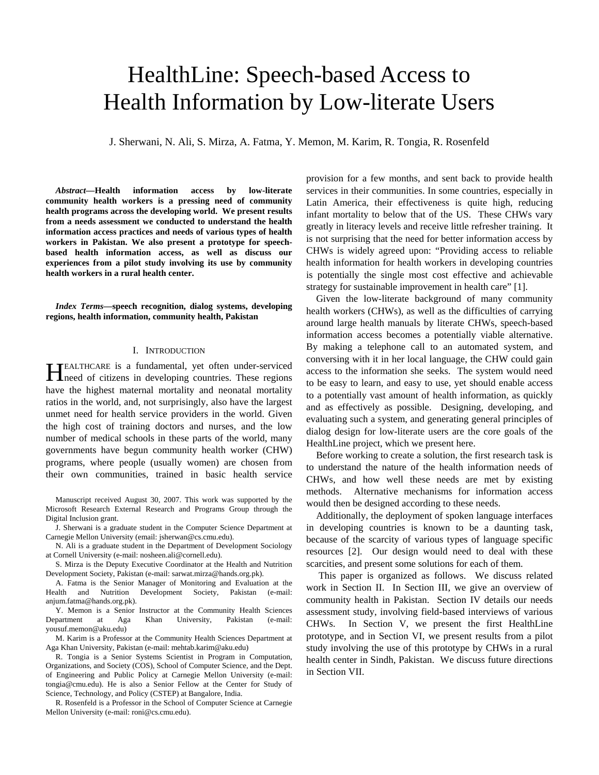# HealthLine: Speech-based Access to Health Information by Low-literate Users

J. Sherwani, N. Ali, S. Mirza, A. Fatma, Y. Memon, M. Karim, R. Tongia, R. Rosenfeld

*Abstract***—Health information access by low-literate community health workers is a pressing need of community health programs across the developing world. We present results from a needs assessment we conducted to understand the health information access practices and needs of various types of health workers in Pakistan. We also present a prototype for speechbased health information access, as well as discuss our experiences from a pilot study involving its use by community health workers in a rural health center.** 

*Index Terms***—speech recognition, dialog systems, developing regions, health information, community health, Pakistan** 

#### I. INTRODUCTION

EALTHCARE is a fundamental, yet often under-serviced HEALTHCARE is a fundamental, yet often under-serviced<br>Theed of citizens in developing countries. These regions have the highest maternal mortality and neonatal mortality ratios in the world, and, not surprisingly, also have the largest unmet need for health service providers in the world. Given the high cost of training doctors and nurses, and the low number of medical schools in these parts of the world, many governments have begun community health worker (CHW) programs, where people (usually women) are chosen from their own communities, trained in basic health service

Manuscript received August 30, 2007. This work was supported by the Microsoft Research External Research and Programs Group through the Digital Inclusion grant.

J. Sherwani is a graduate student in the Computer Science Department at Carnegie Mellon University (email: jsherwan@cs.cmu.edu).

N. Ali is a graduate student in the Department of Development Sociology at Cornell University (e-mail: nosheen.ali@cornell.edu).

S. Mirza is the Deputy Executive Coordinator at the Health and Nutrition Development Society, Pakistan (e-mail: sarwat.mirza@hands.org.pk).

A. Fatma is the Senior Manager of Monitoring and Evaluation at the Health and Nutrition Development Society, Pakistan (e-mail: anjum.fatma@hands.org.pk).

Y. Memon is a Senior Instructor at the Community Health Sciences Department at Aga Khan University, Pakistan (e-mail: yousuf.memon@aku.edu)

M. Karim is a Professor at the Community Health Sciences Department at Aga Khan University, Pakistan (e-mail: mehtab.karim@aku.edu)

R. Tongia is a Senior Systems Scientist in Program in Computation, Organizations, and Society (COS), School of Computer Science, and the Dept. of Engineering and Public Policy at Carnegie Mellon University (e-mail: tongia@cmu.edu). He is also a Senior Fellow at the Center for Study of Science, Technology, and Policy (CSTEP) at Bangalore, India.

R. Rosenfeld is a Professor in the School of Computer Science at Carnegie Mellon University (e-mail: roni@cs.cmu.edu).

provision for a few months, and sent back to provide health services in their communities. In some countries, especially in Latin America, their effectiveness is quite high, reducing infant mortality to below that of the US. These CHWs vary greatly in literacy levels and receive little refresher training. It is not surprising that the need for better information access by CHWs is widely agreed upon: "Providing access to reliable health information for health workers in developing countries is potentially the single most cost effective and achievable strategy for sustainable improvement in health care" [1].

Given the low-literate background of many community health workers (CHWs), as well as the difficulties of carrying around large health manuals by literate CHWs, speech-based information access becomes a potentially viable alternative. By making a telephone call to an automated system, and conversing with it in her local language, the CHW could gain access to the information she seeks. The system would need to be easy to learn, and easy to use, yet should enable access to a potentially vast amount of health information, as quickly and as effectively as possible. Designing, developing, and evaluating such a system, and generating general principles of dialog design for low-literate users are the core goals of the HealthLine project, which we present here.

Before working to create a solution, the first research task is to understand the nature of the health information needs of CHWs, and how well these needs are met by existing methods. Alternative mechanisms for information access would then be designed according to these needs.

Additionally, the deployment of spoken language interfaces in developing countries is known to be a daunting task, because of the scarcity of various types of language specific resources [2]. Our design would need to deal with these scarcities, and present some solutions for each of them.

 This paper is organized as follows. We discuss related work in Section II. In Section III, we give an overview of community health in Pakistan. Section IV details our needs assessment study, involving field-based interviews of various CHWs. In Section V, we present the first HealthLine prototype, and in Section VI, we present results from a pilot study involving the use of this prototype by CHWs in a rural health center in Sindh, Pakistan. We discuss future directions in Section VII.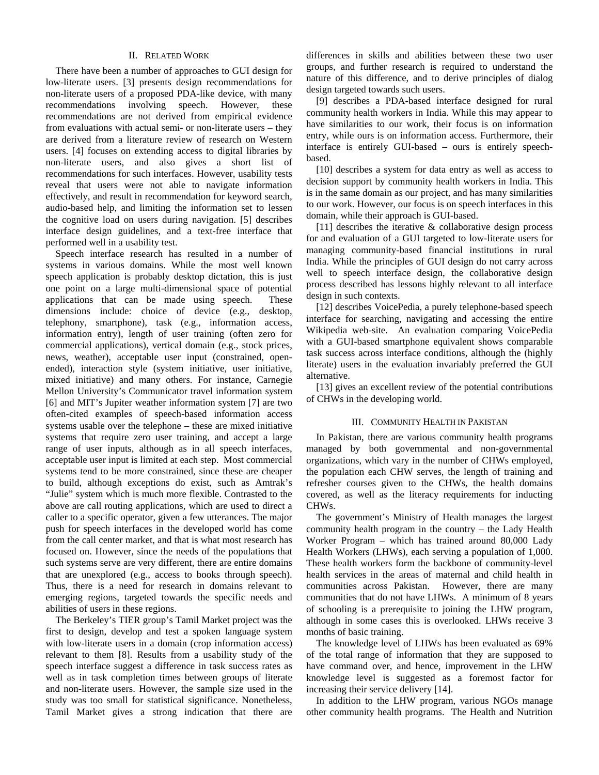## II. RELATED WORK

There have been a number of approaches to GUI design for low-literate users. [3] presents design recommendations for non-literate users of a proposed PDA-like device, with many recommendations involving speech. However, these recommendations are not derived from empirical evidence from evaluations with actual semi- or non-literate users – they are derived from a literature review of research on Western users. [4] focuses on extending access to digital libraries by non-literate users, and also gives a short list of recommendations for such interfaces. However, usability tests reveal that users were not able to navigate information effectively, and result in recommendation for keyword search, audio-based help, and limiting the information set to lessen the cognitive load on users during navigation. [5] describes interface design guidelines, and a text-free interface that performed well in a usability test.

Speech interface research has resulted in a number of systems in various domains. While the most well known speech application is probably desktop dictation, this is just one point on a large multi-dimensional space of potential applications that can be made using speech. These dimensions include: choice of device (e.g., desktop, telephony, smartphone), task (e.g., information access, information entry), length of user training (often zero for commercial applications), vertical domain (e.g., stock prices, news, weather), acceptable user input (constrained, openended), interaction style (system initiative, user initiative, mixed initiative) and many others. For instance, Carnegie Mellon University's Communicator travel information system [6] and MIT's Jupiter weather information system [7] are two often-cited examples of speech-based information access systems usable over the telephone – these are mixed initiative systems that require zero user training, and accept a large range of user inputs, although as in all speech interfaces, acceptable user input is limited at each step. Most commercial systems tend to be more constrained, since these are cheaper to build, although exceptions do exist, such as Amtrak's "Julie" system which is much more flexible. Contrasted to the above are call routing applications, which are used to direct a caller to a specific operator, given a few utterances. The major push for speech interfaces in the developed world has come from the call center market, and that is what most research has focused on. However, since the needs of the populations that such systems serve are very different, there are entire domains that are unexplored (e.g., access to books through speech). Thus, there is a need for research in domains relevant to emerging regions, targeted towards the specific needs and abilities of users in these regions.

The Berkeley's TIER group's Tamil Market project was the first to design, develop and test a spoken language system with low-literate users in a domain (crop information access) relevant to them [8]. Results from a usability study of the speech interface suggest a difference in task success rates as well as in task completion times between groups of literate and non-literate users. However, the sample size used in the study was too small for statistical significance. Nonetheless, Tamil Market gives a strong indication that there are differences in skills and abilities between these two user groups, and further research is required to understand the nature of this difference, and to derive principles of dialog design targeted towards such users.

[9] describes a PDA-based interface designed for rural community health workers in India. While this may appear to have similarities to our work, their focus is on information entry, while ours is on information access. Furthermore, their interface is entirely GUI-based – ours is entirely speechbased.

[10] describes a system for data entry as well as access to decision support by community health workers in India. This is in the same domain as our project, and has many similarities to our work. However, our focus is on speech interfaces in this domain, while their approach is GUI-based.

[11] describes the iterative & collaborative design process for and evaluation of a GUI targeted to low-literate users for managing community-based financial institutions in rural India. While the principles of GUI design do not carry across well to speech interface design, the collaborative design process described has lessons highly relevant to all interface design in such contexts.

[12] describes VoicePedia, a purely telephone-based speech interface for searching, navigating and accessing the entire Wikipedia web-site. An evaluation comparing VoicePedia with a GUI-based smartphone equivalent shows comparable task success across interface conditions, although the (highly literate) users in the evaluation invariably preferred the GUI alternative.

[13] gives an excellent review of the potential contributions of CHWs in the developing world.

#### III. COMMUNITY HEALTH IN PAKISTAN

In Pakistan, there are various community health programs managed by both governmental and non-governmental organizations, which vary in the number of CHWs employed, the population each CHW serves, the length of training and refresher courses given to the CHWs, the health domains covered, as well as the literacy requirements for inducting CHWs.

The government's Ministry of Health manages the largest community health program in the country – the Lady Health Worker Program – which has trained around 80,000 Lady Health Workers (LHWs), each serving a population of 1,000. These health workers form the backbone of community-level health services in the areas of maternal and child health in communities across Pakistan. However, there are many communities that do not have LHWs. A minimum of 8 years of schooling is a prerequisite to joining the LHW program, although in some cases this is overlooked. LHWs receive 3 months of basic training.

The knowledge level of LHWs has been evaluated as 69% of the total range of information that they are supposed to have command over, and hence, improvement in the LHW knowledge level is suggested as a foremost factor for increasing their service delivery [14].

In addition to the LHW program, various NGOs manage other community health programs. The Health and Nutrition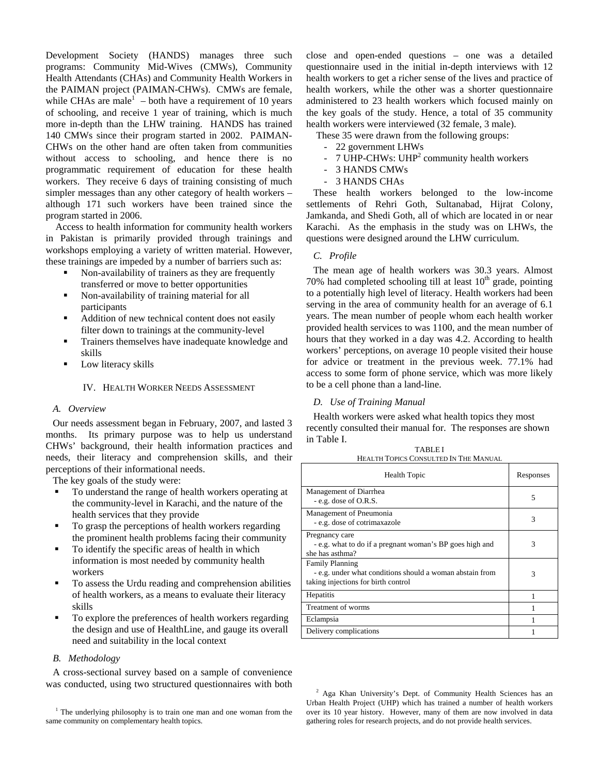Development Society (HANDS) manages three such programs: Community Mid-Wives (CMWs), Community Health Attendants (CHAs) and Community Health Workers in the PAIMAN project (PAIMAN-CHWs). CMWs are female, while CHAs are male<sup>1</sup> – both have a requirement of 10 years of schooling, and receive 1 year of training, which is much more in-depth than the LHW training. HANDS has trained 140 CMWs since their program started in 2002. PAIMAN-CHWs on the other hand are often taken from communities without access to schooling, and hence there is no programmatic requirement of education for these health workers. They receive 6 days of training consisting of much simpler messages than any other category of health workers – although 171 such workers have been trained since the program started in 2006.

Access to health information for community health workers in Pakistan is primarily provided through trainings and workshops employing a variety of written material. However, these trainings are impeded by a number of barriers such as:

- Non-availability of trainers as they are frequently transferred or move to better opportunities
- Non-availability of training material for all participants
- Addition of new technical content does not easily filter down to trainings at the community-level
- Trainers themselves have inadequate knowledge and skills
- Low literacy skills

## IV. HEALTH WORKER NEEDS ASSESSMENT

## *A. Overview*

Our needs assessment began in February, 2007, and lasted 3 months. Its primary purpose was to help us understand CHWs' background, their health information practices and needs, their literacy and comprehension skills, and their perceptions of their informational needs.

The key goals of the study were:

- To understand the range of health workers operating at the community-level in Karachi, and the nature of the health services that they provide
- To grasp the perceptions of health workers regarding the prominent health problems facing their community
- To identify the specific areas of health in which information is most needed by community health workers
- To assess the Urdu reading and comprehension abilities of health workers, as a means to evaluate their literacy skills
- To explore the preferences of health workers regarding the design and use of HealthLine, and gauge its overall need and suitability in the local context

#### *B. Methodology*

A cross-sectional survey based on a sample of convenience was conducted, using two structured questionnaires with both

<sup>1</sup> The underlying philosophy is to train one man and one woman from the same community on complementary health topics.

close and open-ended questions – one was a detailed questionnaire used in the initial in-depth interviews with 12 health workers to get a richer sense of the lives and practice of health workers, while the other was a shorter questionnaire administered to 23 health workers which focused mainly on the key goals of the study. Hence, a total of 35 community health workers were interviewed (32 female, 3 male).

These 35 were drawn from the following groups:

- 22 government LHWs
- 7 UHP-CHWs: UHP<sup>2</sup> community health workers
- 3 HANDS CMWs
- 3 HANDS CHAS

These health workers belonged to the low-income settlements of Rehri Goth, Sultanabad, Hijrat Colony, Jamkanda, and Shedi Goth, all of which are located in or near Karachi. As the emphasis in the study was on LHWs, the questions were designed around the LHW curriculum.

#### *C. Profile*

The mean age of health workers was 30.3 years. Almost 70% had completed schooling till at least  $10<sup>th</sup>$  grade, pointing to a potentially high level of literacy. Health workers had been serving in the area of community health for an average of 6.1 years. The mean number of people whom each health worker provided health services to was 1100, and the mean number of hours that they worked in a day was 4.2. According to health workers' perceptions, on average 10 people visited their house for advice or treatment in the previous week. 77.1% had access to some form of phone service, which was more likely to be a cell phone than a land-line.

#### *D. Use of Training Manual*

Health workers were asked what health topics they most recently consulted their manual for. The responses are shown in Table I.

TABLE I HEALTH TOPICS CONSULTED IN THE MANUAL

| <b>Health Topic</b>                                                                                                       | Responses |
|---------------------------------------------------------------------------------------------------------------------------|-----------|
| Management of Diarrhea<br>$-e.g.$ dose of O.R.S.                                                                          | 5         |
| Management of Pneumonia<br>- e.g. dose of cotrimaxazole                                                                   | 3         |
| Pregnancy care<br>- e.g. what to do if a pregnant woman's BP goes high and<br>she has asthma?                             | 3         |
| <b>Family Planning</b><br>- e.g. under what conditions should a woman abstain from<br>taking injections for birth control | 3         |
| Hepatitis                                                                                                                 |           |
| Treatment of worms                                                                                                        |           |
| Eclampsia                                                                                                                 |           |
| Delivery complications                                                                                                    |           |

<sup>&</sup>lt;sup>2</sup> Aga Khan University's Dept. of Community Health Sciences has an Urban Health Project (UHP) which has trained a number of health workers over its 10 year history. However, many of them are now involved in data gathering roles for research projects, and do not provide health services.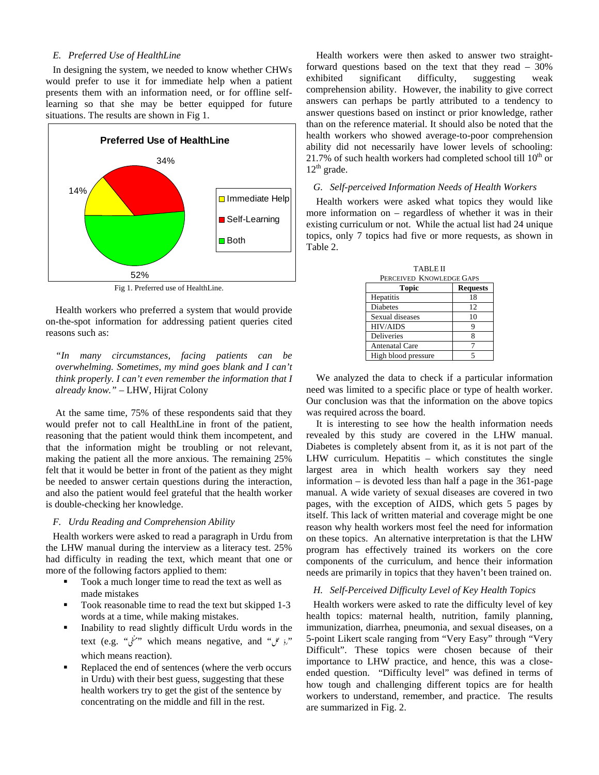### *E. Preferred Use of HealthLine*

In designing the system, we needed to know whether CHWs would prefer to use it for immediate help when a patient presents them with an information need, or for offline selflearning so that she may be better equipped for future situations. The results are shown in Fig 1.



Fig 1. Preferred use of HealthLine.

Health workers who preferred a system that would provide on-the-spot information for addressing patient queries cited reasons such as:

*"In many circumstances, facing patients can be overwhelming. Sometimes, my mind goes blank and I can't think properly. I can't even remember the information that I already know."* – LHW, Hijrat Colony

At the same time, 75% of these respondents said that they would prefer not to call HealthLine in front of the patient, reasoning that the patient would think them incompetent, and that the information might be troubling or not relevant, making the patient all the more anxious. The remaining 25% felt that it would be better in front of the patient as they might be needed to answer certain questions during the interaction, and also the patient would feel grateful that the health worker is double-checking her knowledge.

#### *F. Urdu Reading and Comprehension Ability*

Health workers were asked to read a paragraph in Urdu from the LHW manual during the interview as a literacy test. 25% had difficulty in reading the text, which meant that one or more of the following factors applied to them:

- Took a much longer time to read the text as well as made mistakes
- Took reasonable time to read the text but skipped 1-3 words at a time, while making mistakes.
- Inability to read slightly difficult Urdu words in the text (e.g. "أَردِّ عَل") which means negative, and "ردِّ عَل") ̈́ ̈́ ǜ ֦֧֜ which means reaction).
- Replaced the end of sentences (where the verb occurs in Urdu) with their best guess, suggesting that these health workers try to get the gist of the sentence by concentrating on the middle and fill in the rest.

Health workers were then asked to answer two straightforward questions based on the text that they read – 30% exhibited significant difficulty, suggesting weak comprehension ability. However, the inability to give correct answers can perhaps be partly attributed to a tendency to answer questions based on instinct or prior knowledge, rather than on the reference material. It should also be noted that the health workers who showed average-to-poor comprehension ability did not necessarily have lower levels of schooling: 21.7% of such health workers had completed school till  $10^{th}$  or  $12<sup>th</sup>$  grade.

#### *G. Self-perceived Information Needs of Health Workers*

 Health workers were asked what topics they would like more information on – regardless of whether it was in their existing curriculum or not. While the actual list had 24 unique topics, only 7 topics had five or more requests, as shown in Table 2.

| PERCEIVED KNOWLEDGE GAPS |                 |
|--------------------------|-----------------|
| <b>Topic</b>             | <b>Requests</b> |
| Hepatitis                | 18              |
| <b>Diabetes</b>          | 12              |
| Sexual diseases          | 10              |
| <b>HIV/AIDS</b>          | q               |
| <b>Deliveries</b>        | 8               |
| <b>Antenatal Care</b>    |                 |
| High blood pressure      |                 |

TABLE II PERCEIVED KNOWLEDGE GAPS

We analyzed the data to check if a particular information need was limited to a specific place or type of health worker. Our conclusion was that the information on the above topics was required across the board.

It is interesting to see how the health information needs revealed by this study are covered in the LHW manual. Diabetes is completely absent from it, as it is not part of the LHW curriculum. Hepatitis – which constitutes the single largest area in which health workers say they need information – is devoted less than half a page in the 361-page manual. A wide variety of sexual diseases are covered in two pages, with the exception of AIDS, which gets 5 pages by itself. This lack of written material and coverage might be one reason why health workers most feel the need for information on these topics. An alternative interpretation is that the LHW program has effectively trained its workers on the core components of the curriculum, and hence their information needs are primarily in topics that they haven't been trained on.

#### *H. Self-Perceived Difficulty Level of Key Health Topics*

Health workers were asked to rate the difficulty level of key health topics: maternal health, nutrition, family planning, immunization, diarrhea, pneumonia, and sexual diseases, on a 5-point Likert scale ranging from "Very Easy" through "Very Difficult". These topics were chosen because of their importance to LHW practice, and hence, this was a closeended question. "Difficulty level" was defined in terms of how tough and challenging different topics are for health workers to understand, remember, and practice. The results are summarized in Fig. 2.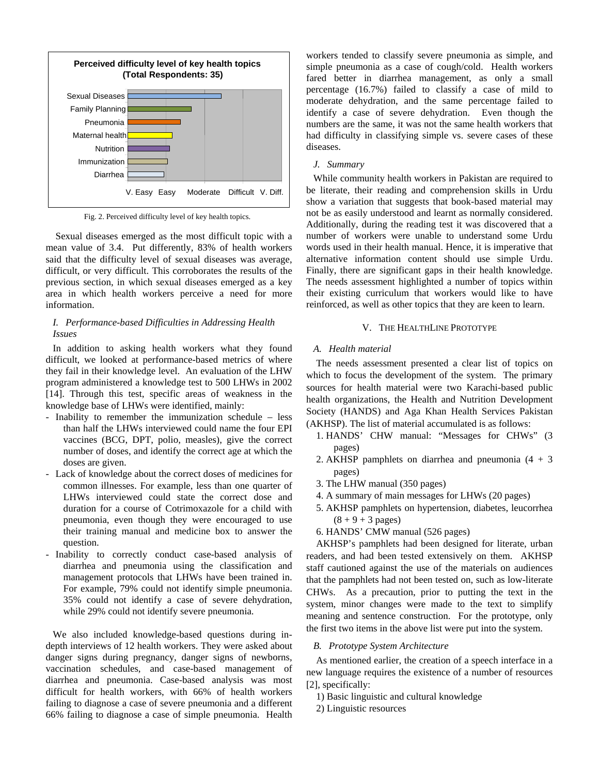

Fig. 2. Perceived difficulty level of key health topics.

Sexual diseases emerged as the most difficult topic with a mean value of 3.4. Put differently, 83% of health workers said that the difficulty level of sexual diseases was average, difficult, or very difficult. This corroborates the results of the previous section, in which sexual diseases emerged as a key area in which health workers perceive a need for more information.

# *I. Performance-based Difficulties in Addressing Health Issues*

In addition to asking health workers what they found difficult, we looked at performance-based metrics of where they fail in their knowledge level. An evaluation of the LHW program administered a knowledge test to 500 LHWs in 2002 [14]. Through this test, specific areas of weakness in the knowledge base of LHWs were identified, mainly:

- Inability to remember the immunization schedule less than half the LHWs interviewed could name the four EPI vaccines (BCG, DPT, polio, measles), give the correct number of doses, and identify the correct age at which the doses are given.
- Lack of knowledge about the correct doses of medicines for common illnesses. For example, less than one quarter of LHWs interviewed could state the correct dose and duration for a course of Cotrimoxazole for a child with pneumonia, even though they were encouraged to use their training manual and medicine box to answer the question.
- Inability to correctly conduct case-based analysis of diarrhea and pneumonia using the classification and management protocols that LHWs have been trained in. For example, 79% could not identify simple pneumonia. 35% could not identify a case of severe dehydration, while 29% could not identify severe pneumonia.

We also included knowledge-based questions during indepth interviews of 12 health workers. They were asked about danger signs during pregnancy, danger signs of newborns, vaccination schedules, and case-based management of diarrhea and pneumonia. Case-based analysis was most difficult for health workers, with 66% of health workers failing to diagnose a case of severe pneumonia and a different 66% failing to diagnose a case of simple pneumonia. Health workers tended to classify severe pneumonia as simple, and simple pneumonia as a case of cough/cold. Health workers fared better in diarrhea management, as only a small percentage (16.7%) failed to classify a case of mild to moderate dehydration, and the same percentage failed to identify a case of severe dehydration. Even though the numbers are the same, it was not the same health workers that had difficulty in classifying simple vs. severe cases of these diseases.

#### *J. Summary*

While community health workers in Pakistan are required to be literate, their reading and comprehension skills in Urdu show a variation that suggests that book-based material may not be as easily understood and learnt as normally considered. Additionally, during the reading test it was discovered that a number of workers were unable to understand some Urdu words used in their health manual. Hence, it is imperative that alternative information content should use simple Urdu. Finally, there are significant gaps in their health knowledge. The needs assessment highlighted a number of topics within their existing curriculum that workers would like to have reinforced, as well as other topics that they are keen to learn.

#### V. THE HEALTHLINE PROTOTYPE

# *A. Health material*

The needs assessment presented a clear list of topics on which to focus the development of the system. The primary sources for health material were two Karachi-based public health organizations, the Health and Nutrition Development Society (HANDS) and Aga Khan Health Services Pakistan (AKHSP). The list of material accumulated is as follows:

- 1. HANDS' CHW manual: "Messages for CHWs" (3 pages)
- 2. AKHSP pamphlets on diarrhea and pneumonia  $(4 + 3)$ pages)
- 3. The LHW manual (350 pages)
- 4. A summary of main messages for LHWs (20 pages)
- 5. AKHSP pamphlets on hypertension, diabetes, leucorrhea  $(8 + 9 + 3$  pages)
- 6. HANDS' CMW manual (526 pages)

AKHSP's pamphlets had been designed for literate, urban readers, and had been tested extensively on them. AKHSP staff cautioned against the use of the materials on audiences that the pamphlets had not been tested on, such as low-literate CHWs. As a precaution, prior to putting the text in the system, minor changes were made to the text to simplify meaning and sentence construction. For the prototype, only the first two items in the above list were put into the system.

## *B. Prototype System Architecture*

As mentioned earlier, the creation of a speech interface in a new language requires the existence of a number of resources [2], specifically:

- 1) Basic linguistic and cultural knowledge
- 2) Linguistic resources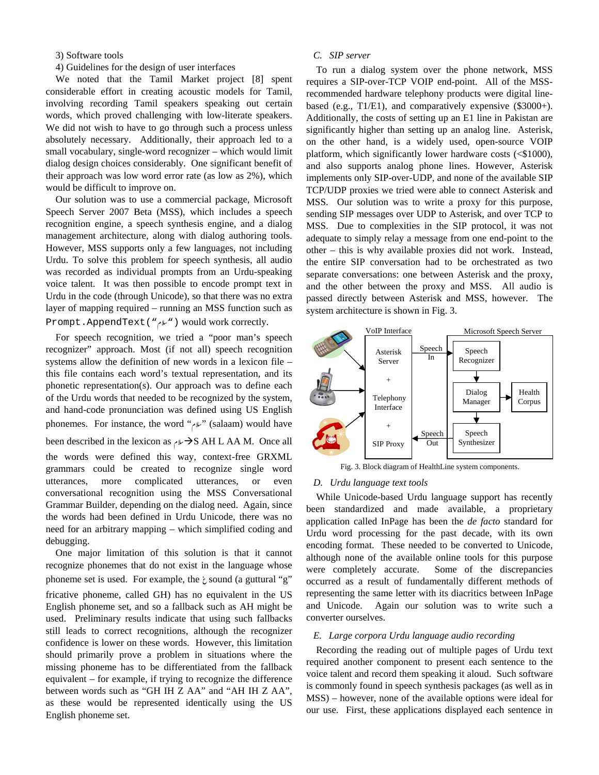3) Software tools

4) Guidelines for the design of user interfaces

We noted that the Tamil Market project [8] spent considerable effort in creating acoustic models for Tamil, involving recording Tamil speakers speaking out certain words, which proved challenging with low-literate speakers. We did not wish to have to go through such a process unless absolutely necessary. Additionally, their approach led to a small vocabulary, single-word recognizer – which would limit dialog design choices considerably. One significant benefit of their approach was low word error rate (as low as 2%), which would be difficult to improve on.

Our solution was to use a commercial package, Microsoft Speech Server 2007 Beta (MSS), which includes a speech recognition engine, a speech synthesis engine, and a dialog management architecture, along with dialog authoring tools. However, MSS supports only a few languages, not including Urdu. To solve this problem for speech synthesis, all audio was recorded as individual prompts from an Urdu-speaking voice talent. It was then possible to encode prompt text in Urdu in the code (through Unicode), so that there was no extra layer of mapping required – running an MSS function such as Prompt.AppendText("*مام*") would work correctly.

For speech recognition, we tried a "poor man's speech recognizer" approach. Most (if not all) speech recognition systems allow the definition of new words in a lexicon file – this file contains each word's textual representation, and its phonetic representation(s). Our approach was to define each of the Urdu words that needed to be recognized by the system, and hand-code pronunciation was defined using US English phonemes. For instance, the word " $\psi$ " (salaam) would have been described in the lexicon as  $\forall$ EGS AH L AA M. Once all the words were defined this way, context-free GRXML grammars could be created to recognize single word utterances, more complicated utterances, or even conversational recognition using the MSS Conversational Grammar Builder, depending on the dialog need. Again, since the words had been defined in Urdu Unicode, there was no need for an arbitrary mapping – which simplified coding and debugging.

One major limitation of this solution is that it cannot recognize phonemes that do not exist in the language whose phoneme set is used. For example, the  $\zeta$  sound (a guttural "g" fricative phoneme, called GH) has no equivalent in the US English phoneme set, and so a fallback such as AH might be used. Preliminary results indicate that using such fallbacks still leads to correct recognitions, although the recognizer confidence is lower on these words. However, this limitation should primarily prove a problem in situations where the missing phoneme has to be differentiated from the fallback equivalent – for example, if trying to recognize the difference between words such as "GH IH Z AA" and "AH IH Z AA", as these would be represented identically using the US English phoneme set.

# *C. SIP server*

To run a dialog system over the phone network, MSS requires a SIP-over-TCP VOIP end-point. All of the MSSrecommended hardware telephony products were digital linebased (e.g., T1/E1), and comparatively expensive (\$3000+). Additionally, the costs of setting up an E1 line in Pakistan are significantly higher than setting up an analog line. Asterisk, on the other hand, is a widely used, open-source VOIP platform, which significantly lower hardware costs (<\$1000), and also supports analog phone lines. However, Asterisk implements only SIP-over-UDP, and none of the available SIP TCP/UDP proxies we tried were able to connect Asterisk and MSS. Our solution was to write a proxy for this purpose, sending SIP messages over UDP to Asterisk, and over TCP to MSS. Due to complexities in the SIP protocol, it was not adequate to simply relay a message from one end-point to the other – this is why available proxies did not work. Instead, the entire SIP conversation had to be orchestrated as two separate conversations: one between Asterisk and the proxy, and the other between the proxy and MSS. All audio is passed directly between Asterisk and MSS, however. The system architecture is shown in Fig. 3.



Fig. 3. Block diagram of HealthLine system components.

#### *D. Urdu language text tools*

While Unicode-based Urdu language support has recently been standardized and made available, a proprietary application called InPage has been the *de facto* standard for Urdu word processing for the past decade, with its own encoding format. These needed to be converted to Unicode, although none of the available online tools for this purpose were completely accurate. Some of the discrepancies occurred as a result of fundamentally different methods of representing the same letter with its diacritics between InPage and Unicode. Again our solution was to write such a converter ourselves.

#### *E. Large corpora Urdu language audio recording*

Recording the reading out of multiple pages of Urdu text required another component to present each sentence to the voice talent and record them speaking it aloud. Such software is commonly found in speech synthesis packages (as well as in MSS) – however, none of the available options were ideal for our use. First, these applications displayed each sentence in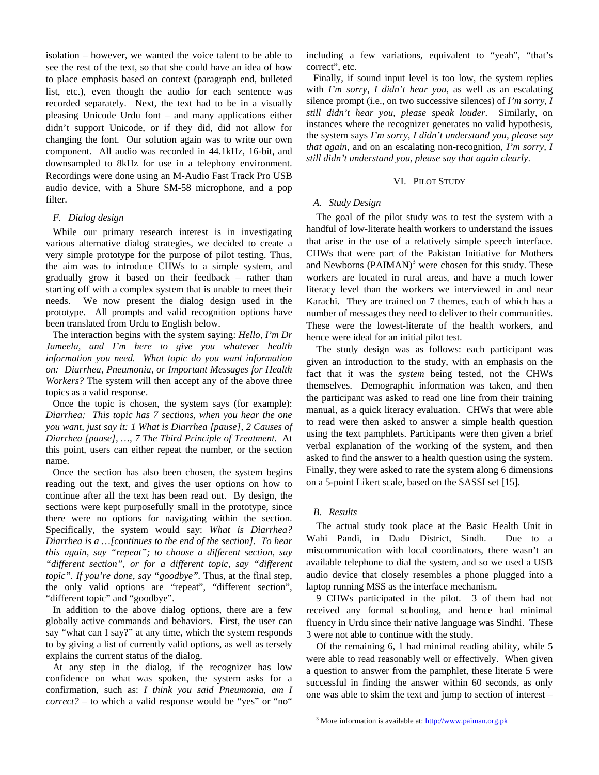isolation – however, we wanted the voice talent to be able to see the rest of the text, so that she could have an idea of how to place emphasis based on context (paragraph end, bulleted list, etc.), even though the audio for each sentence was recorded separately. Next, the text had to be in a visually pleasing Unicode Urdu font – and many applications either didn't support Unicode, or if they did, did not allow for changing the font. Our solution again was to write our own component. All audio was recorded in 44.1kHz, 16-bit, and downsampled to 8kHz for use in a telephony environment. Recordings were done using an M-Audio Fast Track Pro USB audio device, with a Shure SM-58 microphone, and a pop filter.

#### *F. Dialog design*

While our primary research interest is in investigating various alternative dialog strategies, we decided to create a very simple prototype for the purpose of pilot testing. Thus, the aim was to introduce CHWs to a simple system, and gradually grow it based on their feedback – rather than starting off with a complex system that is unable to meet their needs. We now present the dialog design used in the prototype. All prompts and valid recognition options have been translated from Urdu to English below.

The interaction begins with the system saying: *Hello, I'm Dr Jameela, and I'm here to give you whatever health information you need. What topic do you want information on: Diarrhea, Pneumonia, or Important Messages for Health Workers?* The system will then accept any of the above three topics as a valid response.

Once the topic is chosen, the system says (for example): *Diarrhea: This topic has 7 sections, when you hear the one you want, just say it: 1 What is Diarrhea [pause], 2 Causes of Diarrhea [pause], …, 7 The Third Principle of Treatment.* At this point, users can either repeat the number, or the section name.

Once the section has also been chosen, the system begins reading out the text, and gives the user options on how to continue after all the text has been read out. By design, the sections were kept purposefully small in the prototype, since there were no options for navigating within the section. Specifically, the system would say: *What is Diarrhea? Diarrhea is a …[continues to the end of the section]. To hear this again, say "repeat"; to choose a different section, say "different section", or for a different topic, say "different topic". If you're done, say "goodbye".* Thus, at the final step, the only valid options are "repeat", "different section", "different topic" and "goodbye".

In addition to the above dialog options, there are a few globally active commands and behaviors. First, the user can say "what can I say?" at any time, which the system responds to by giving a list of currently valid options, as well as tersely explains the current status of the dialog.

At any step in the dialog, if the recognizer has low confidence on what was spoken, the system asks for a confirmation, such as: *I think you said Pneumonia, am I correct?* – to which a valid response would be "yes" or "no"

including a few variations, equivalent to "yeah", "that's correct", etc.

Finally, if sound input level is too low, the system replies with *I'm sorry, I didn't hear you*, as well as an escalating silence prompt (i.e., on two successive silences) of *I'm sorry, I still didn't hear you, please speak louder*. Similarly, on instances where the recognizer generates no valid hypothesis, the system says *I'm sorry, I didn't understand you, please say that again*, and on an escalating non-recognition, *I'm sorry, I still didn't understand you, please say that again clearly*.

#### VI. PILOT STUDY

## *A. Study Design*

The goal of the pilot study was to test the system with a handful of low-literate health workers to understand the issues that arise in the use of a relatively simple speech interface. CHWs that were part of the Pakistan Initiative for Mothers and Newborns  $(PAIMAN)^3$  were chosen for this study. These workers are located in rural areas, and have a much lower literacy level than the workers we interviewed in and near Karachi. They are trained on 7 themes, each of which has a number of messages they need to deliver to their communities. These were the lowest-literate of the health workers, and hence were ideal for an initial pilot test.

The study design was as follows: each participant was given an introduction to the study, with an emphasis on the fact that it was the *system* being tested, not the CHWs themselves. Demographic information was taken, and then the participant was asked to read one line from their training manual, as a quick literacy evaluation. CHWs that were able to read were then asked to answer a simple health question using the text pamphlets. Participants were then given a brief verbal explanation of the working of the system, and then asked to find the answer to a health question using the system. Finally, they were asked to rate the system along 6 dimensions on a 5-point Likert scale, based on the SASSI set [15].

## *B. Results*

The actual study took place at the Basic Health Unit in Wahi Pandi, in Dadu District, Sindh. Due to a miscommunication with local coordinators, there wasn't an available telephone to dial the system, and so we used a USB audio device that closely resembles a phone plugged into a laptop running MSS as the interface mechanism.

9 CHWs participated in the pilot. 3 of them had not received any formal schooling, and hence had minimal fluency in Urdu since their native language was Sindhi. These 3 were not able to continue with the study.

Of the remaining 6, 1 had minimal reading ability, while 5 were able to read reasonably well or effectively. When given a question to answer from the pamphlet, these literate 5 were successful in finding the answer within 60 seconds, as only one was able to skim the text and jump to section of interest –

<sup>&</sup>lt;sup>3</sup> More information is available at: http://www.paiman.org.pk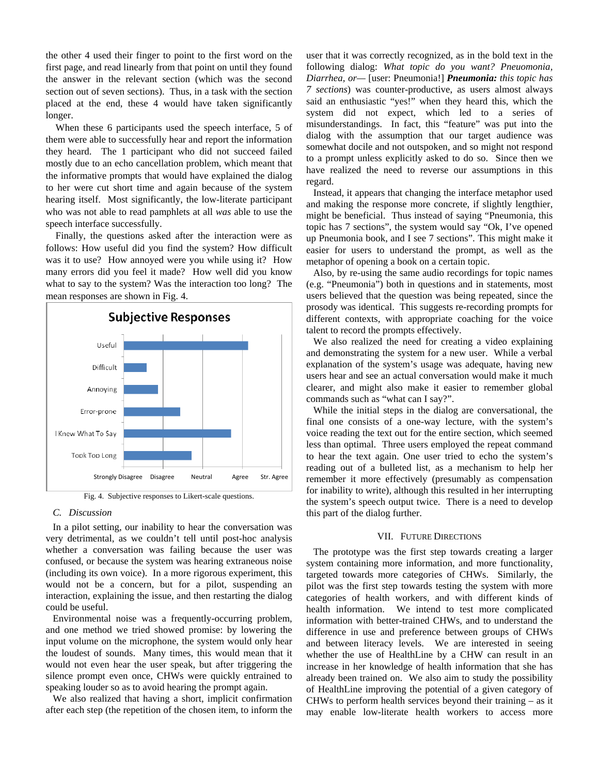the other 4 used their finger to point to the first word on the first page, and read linearly from that point on until they found the answer in the relevant section (which was the second section out of seven sections). Thus, in a task with the section placed at the end, these 4 would have taken significantly longer.

When these 6 participants used the speech interface, 5 of them were able to successfully hear and report the information they heard. The 1 participant who did not succeed failed mostly due to an echo cancellation problem, which meant that the informative prompts that would have explained the dialog to her were cut short time and again because of the system hearing itself. Most significantly, the low-literate participant who was not able to read pamphlets at all *was* able to use the speech interface successfully.

Finally, the questions asked after the interaction were as follows: How useful did you find the system? How difficult was it to use? How annoyed were you while using it? How many errors did you feel it made? How well did you know what to say to the system? Was the interaction too long? The mean responses are shown in Fig. 4.



Fig. 4. Subjective responses to Likert-scale questions.

# *C. Discussion*

In a pilot setting, our inability to hear the conversation was very detrimental, as we couldn't tell until post-hoc analysis whether a conversation was failing because the user was confused, or because the system was hearing extraneous noise (including its own voice). In a more rigorous experiment, this would not be a concern, but for a pilot, suspending an interaction, explaining the issue, and then restarting the dialog could be useful.

Environmental noise was a frequently-occurring problem, and one method we tried showed promise: by lowering the input volume on the microphone, the system would only hear the loudest of sounds. Many times, this would mean that it would not even hear the user speak, but after triggering the silence prompt even once, CHWs were quickly entrained to speaking louder so as to avoid hearing the prompt again.

We also realized that having a short, implicit confirmation after each step (the repetition of the chosen item, to inform the

user that it was correctly recognized, as in the bold text in the following dialog: *What topic do you want? Pneuomonia, Diarrhea, or—* [user: Pneumonia!] *Pneumonia: this topic has 7 sections*) was counter-productive, as users almost always said an enthusiastic "yes!" when they heard this, which the system did not expect, which led to a series of misunderstandings. In fact, this "feature" was put into the dialog with the assumption that our target audience was somewhat docile and not outspoken, and so might not respond to a prompt unless explicitly asked to do so. Since then we have realized the need to reverse our assumptions in this regard.

Instead, it appears that changing the interface metaphor used and making the response more concrete, if slightly lengthier, might be beneficial. Thus instead of saying "Pneumonia, this topic has 7 sections", the system would say "Ok, I've opened up Pneumonia book, and I see 7 sections". This might make it easier for users to understand the prompt, as well as the metaphor of opening a book on a certain topic.

Also, by re-using the same audio recordings for topic names (e.g. "Pneumonia") both in questions and in statements, most users believed that the question was being repeated, since the prosody was identical. This suggests re-recording prompts for different contexts, with appropriate coaching for the voice talent to record the prompts effectively.

We also realized the need for creating a video explaining and demonstrating the system for a new user. While a verbal explanation of the system's usage was adequate, having new users hear and see an actual conversation would make it much clearer, and might also make it easier to remember global commands such as "what can I say?".

While the initial steps in the dialog are conversational, the final one consists of a one-way lecture, with the system's voice reading the text out for the entire section, which seemed less than optimal. Three users employed the repeat command to hear the text again. One user tried to echo the system's reading out of a bulleted list, as a mechanism to help her remember it more effectively (presumably as compensation for inability to write), although this resulted in her interrupting the system's speech output twice. There is a need to develop this part of the dialog further.

#### VII. FUTURE DIRECTIONS

The prototype was the first step towards creating a larger system containing more information, and more functionality, targeted towards more categories of CHWs. Similarly, the pilot was the first step towards testing the system with more categories of health workers, and with different kinds of health information. We intend to test more complicated information with better-trained CHWs, and to understand the difference in use and preference between groups of CHWs and between literacy levels. We are interested in seeing whether the use of HealthLine by a CHW can result in an increase in her knowledge of health information that she has already been trained on. We also aim to study the possibility of HealthLine improving the potential of a given category of CHWs to perform health services beyond their training – as it may enable low-literate health workers to access more